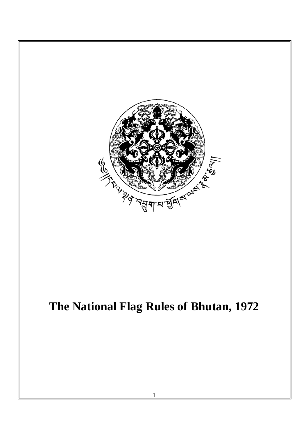

# **The National Flag Rules of Bhutan, 1972**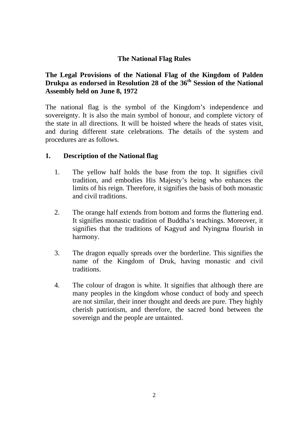## **The National Flag Rules**

## **The Legal Provisions of the National Flag of the Kingdom of Palden Drukpa as endorsed in Resolution 28 of the 36th Session of the National Assembly held on June 8, 1972**

The national flag is the symbol of the Kingdom's independence and sovereignty. It is also the main symbol of honour, and complete victory of the state in all directions. It will be hoisted where the heads of states visit, and during different state celebrations. The details of the system and procedures are as follows.

### **1. Description of the National flag**

- 1. The yellow half holds the base from the top. It signifies civil tradition, and embodies His Majesty's being who enhances the limits of his reign. Therefore, it signifies the basis of both monastic and civil traditions.
- 2. The orange half extends from bottom and forms the fluttering end. It signifies monastic tradition of Buddha's teachings. Moreover, it signifies that the traditions of Kagyud and Nyingma flourish in harmony.
- 3. The dragon equally spreads over the borderline. This signifies the name of the Kingdom of Druk, having monastic and civil traditions.
- 4. The colour of dragon is white. It signifies that although there are many peoples in the kingdom whose conduct of body and speech are not similar, their inner thought and deeds are pure. They highly cherish patriotism, and therefore, the sacred bond between the sovereign and the people are untainted.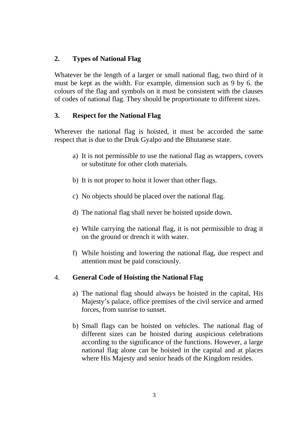## **2. Types of National Flag**

Whatever be the length of a larger or small national flag, two third of it must be kept as the width. For example, dimension such as 9 by 6. the colours of the flag and symbols on it must be consistent with the clauses of codes of national flag. They should be proportionate to different sizes.

### **3. Respect for the National Flag**

Wherever the national flag is hoisted, it must be accorded the same respect that is due to the Druk Gyalpo and the Bhutanese state.

- a) It is not permissible to use the national flag as wrappers, covers or substitute for other cloth materials.
- b) It is not proper to hoist it lower than other flags.
- c) No objects should be placed over the national flag.
- d) The national flag shall never be hoisted upside down.
- e) While carrying the national flag, it is not permissible to drag it on the ground or drench it with water.
- f) While hoisting and lowering the national flag, due respect and attention must be paid consciously.

## 4. **General Code of Hoisting the National Flag**

- a) The national flag should always be hoisted in the capital, His Majesty's palace, office premises of the civil service and armed forces, from sunrise to sunset.
- b) Small flags can be hoisted on vehicles. The national flag of different sizes can be hoisted during auspicious celebrations according to the significance of the functions. However, a large national flag alone can be hoisted in the capital and at places where His Majesty and senior heads of the Kingdom resides.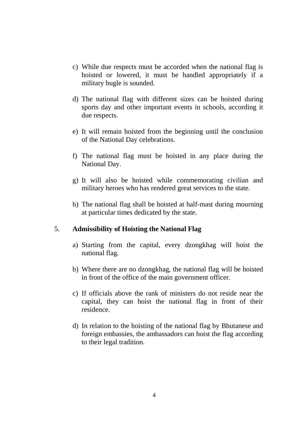- c) While due respects must be accorded when the national flag is hoisted or lowered, it must be handled appropriately if a military bugle is sounded.
- d) The national flag with different sizes can be hoisted during sports day and other important events in schools, according it due respects.
- e) It will remain hoisted from the beginning until the conclusion of the National Day celebrations.
- f) The national flag must be hoisted in any place during the National Day.
- g) It will also be hoisted while commemorating civilian and military heroes who has rendered great services to the state.
- h) The national flag shall be hoisted at half-mast during mourning at particular times dedicated by the state.

### 5. **Admissibility of Hoisting the National Flag**

- a) Starting from the capital, every dzongkhag will hoist the national flag.
- b) Where there are no dzongkhag, the national flag will be hoisted in front of the office of the main government officer.
- c) If officials above the rank of ministers do not reside near the capital, they can hoist the national flag in front of their residence.
- d) In relation to the hoisting of the national flag by Bhutanese and foreign embassies, the ambassadors can hoist the flag according to their legal tradition.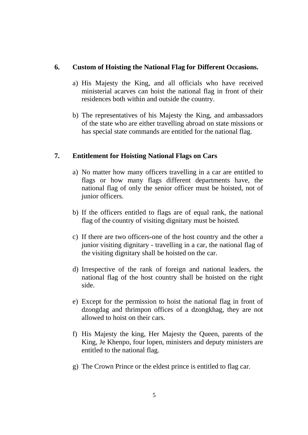#### **6. Custom of Hoisting the National Flag for Different Occasions.**

- a) His Majesty the King, and all officials who have received ministerial acarves can hoist the national flag in front of their residences both within and outside the country.
- b) The representatives of his Majesty the King, and ambassadors of the state who are either travelling abroad on state missions or has special state commands are entitled for the national flag.

## **7. Entitlement for Hoisting National Flags on Cars**

- a) No matter how many officers travelling in a car are entitled to flags or how many flags different departments have, the national flag of only the senior officer must be hoisted, not of junior officers.
- b) If the officers entitled to flags are of equal rank, the national flag of the country of visiting dignitary must be hoisted.
- c) If there are two officers-one of the host country and the other a junior visiting dignitary - travelling in a car, the national flag of the visiting dignitary shall be hoisted on the car.
- d) Irrespective of the rank of foreign and national leaders, the national flag of the host country shall be hoisted on the right side.
- e) Except for the permission to hoist the national flag in front of dzongdag and thrimpon offices of a dzongkhag, they are not allowed to hoist on their cars.
- f) His Majesty the king, Her Majesty the Queen, parents of the King, Je Khenpo, four lopen, ministers and deputy ministers are entitled to the national flag.
- g) The Crown Prince or the eldest prince is entitled to flag car.